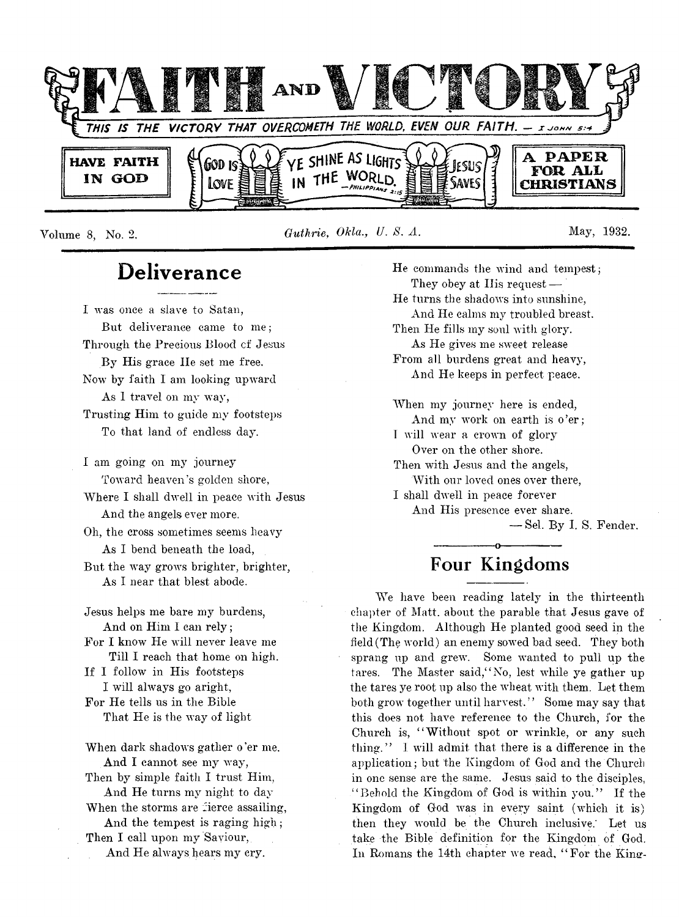

**Volume 8, No. 2.** *Guthrie, Okla., U. 8. A.* **May, 1932.**

# **Deliverance**

**I was once a slave to Satan, But deliverance came to me; Through the Precious Blood cf Jesus By His grace lie set me free. Now by faith I am looking upward As 1 travel on my way, Trusting Him to guide my footsteps To that land of endless day.**

**I am going on my journey Toward heaven's golden shore, Where I shall dwell in peace with Jesus**

**And the angels ever more.**

**Oh, the cross sometimes seems heavy As I bend beneath the load, But the way grows brighter, brighter,**

**As I near that blest abode.**

**Jesus helps me bare my burdens, And on Him I can rely; For I know He will never leave me Till I reach that home on high. If I follow in His footsteps I will always go aright, For He tells us in the Bible That He is the way of light**

**When dark shadows gather o 'er me. And I cannot see my way, Then by simple faith I trust Him, And He turns my night to day When the storms are fierce assailing, And the tempest is raging high; Then I call upon my Saviour, And He always hears my cry.**

**He commands the wind and tempest; They obey at His request — He turns the shadows into sunshine, And He calms my troubled breast. Then He fills my soul witli glory. As He gives me sweet release From all burdens great and heavy, And He keeps in perfect peace. When my journey here is ended,** And my work on earth is o'er; **I will wear a crown of glory Over on the other shore. Then with Jesus and the angels, With our loved ones over there, I shall dwell in peace forever**

**And His presence ever share.**

**— Sel. By I. S. Fender.**

# **---------------o--------------- Four Kingdoms**

**We have been reading lately in the thirteenth chapter of Matt, about the parable that Jesus gave of the Kingdom. Although He planted good seed in the field (The world) an enemy sowed bad seed. They both sprang up and grew. Some wanted to pull up the** tares. The Master said, "No, lest while ye gather up **the tares ye root up also the wheat with them. Let them both grow together until harvest. ' ' Some may say that this does not have reference to the Church, for the Church is, " Without spot or wrinkle, or any such thing. ' ' I will admit that there is a difference in the application; but the Kingdom of God and the Church in one sense are the same. Jesus said to the disciples, " Behold the Kingdom of God is within you." If the Kingdom of God was in every saint (which it is) then they would be the Church inclusive.' Let us take the Bible definition for the Kingdom of God.** In Romans the 14th chapter we read, "For the King-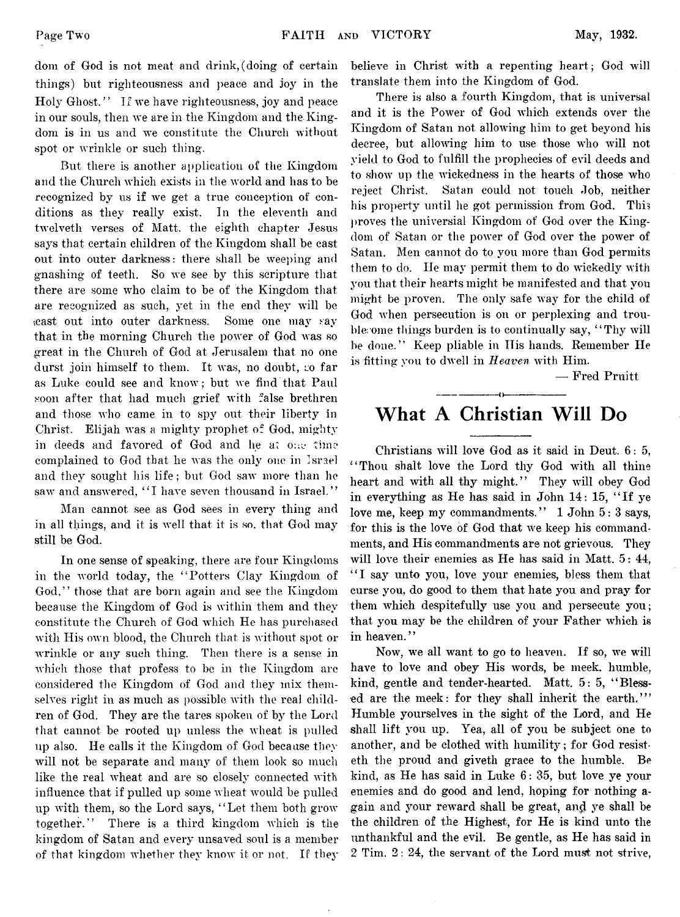**dom of God is not meat and drink,(doing of certain things) but righteousness and peace and joy in the** Holy Ghost." If we have righteousness, joy and peace in our souls, then we are in the Kingdom and the Kingdom is in us and we constitute the Church without **spot or wrrinkle or such thing.**

**But there is another application of the Kingdom and the Church which exists in the world and has to be** recognized by us if we get a true conception of con**ditions as they really exist. In the eleventh and tw'elveth verses of Matt, the eighth chapter Jesus says that certain children of the Kingdom shall be cast out into outer darkness: there shall be weeping and gnashing of teeth. So we see by this scripture that there are some who claim to be of the Kingdom that are recognized as such, yet in the end they will be \cast out into outer darkness. Some one may say** that in the morning Church the power of God was so **great in the Church of God at Jerusalem that no one** durst join himself to them. It was, no doubt, so far **as Luke could see and know; but we find that Paul soon after that had much grief with false brethren and those who came in to spy out their liberty in** Christ. Elijah was a mighty prophet of God, mighty in deeds and favored of God and he at one time **complained to God that he was the only one in Israel and they sought his life; but God saw' more than he saw and answered, " I have seven thousand in Israel."**

**Man cannot see as God sees in every thing and** in all things, and it is well that it is so, that God may **still be God.**

**In one sense of speaking, there are four Kingdoms** in the world today, the "Potters Clay Kingdom of **God,77 those that are born again and see the Kingdom because the Kingdom of God is within them and they constitute the Church of God wdiich He has purchased with His own blood, the Church that is without spot or** wrinkle or any such thing. Then there is a sense in **which those that profess to be in the Kingdom are considered the Kingdom of God and they mix themselves right in as much as possible with the real children of God. They are the tares spoken of by the Lord that cannot be rooted up unless the wheat is pulled up also. He calls it the Kingdom of God because they will not be separate and many of them look so much like the real wheat and are so closely connected with** influence that if pulled up some wheat would be pulled **up with them, so the Lord says, ' ' Let them both grow\* together.77 There is a third kingdom which is the kingdom of Satan and every unsaved soul is a member of that kingdom whether they know' it or not. If they** **believe in Christ with a repenting heart; God will translate them into the Kingdom of God.**

**There is also a fourth Kingdom, that is universal and it is the Power of God which extends over the Kingdom of Satan not allowing him to get beyond his decree, but allowing him to use those who will not yield to God to fulfill the prophecies of evil deeds and to show' up the wickedness in the hearts of those who reject Christ. Satan could not touch Job, neither his property until he got permission from God. This proves the universial Kingdom of God over the Kingdom of Satan or the power of God over the power of Satan. Men cannot do to you more than God permits them to do. He may permit them to do wickedly with you that their hearts might be manifested and that you** might be proven. The only safe way for the child of **God when persecution is on or perplexing and trouble; ome things burden is to continually say, " Thy will be done.77 Keep pliable in Ilis hands. Remember He is fitting you to dw ell in** *Heaven* **with Him.**

**— Fred Pruitt**

# **-------------- (>--------------- What A Christian Will Do**

**Christians will love God as it said in Deut. 6: 5, " Thou shalt love the Lord thy God with all thine heart and with all thy might.77 They will obey God in everything as He has said in John 14: 15, " If ye love me, keep my commandments.7 7 1 John 5: 3 says, for this is the love of God that we keep his commandments, and His commandments are not grievous. They will love their enemies as He has said in Matt. 5: 44, " I say unto you, love your enemies, bless them that curse you, do good to them that hate you and pray for them which despitefully use you and persecute you; that you may be the children of your Father which is** in heaven."

Now, we all want to go to heaven. If so, we will have to love and obey His words, be meek, humble, kind, gentle and tender-hearted. Matt. 5: 5, "Blessed are the meek: for they shall inherit the earth."" **Humble yourselves in the sight of the Lord, and He shall lift you up. Yea, all of you be subject one to** another, and be clothed with humility; for God resist**eth the proud and givetli grace to the humble. Be kind, as He has said in Luke 6: 35, but love ye your enemies and do good and lend, hoping for nothing again and your reward shall be great, an<J ye shall be the children of the Highest, for He is kind unto the unthankful and the evil. Be gentle, as He has said in 2 Tim. 2: 24, the servant of the Lord must not strive,**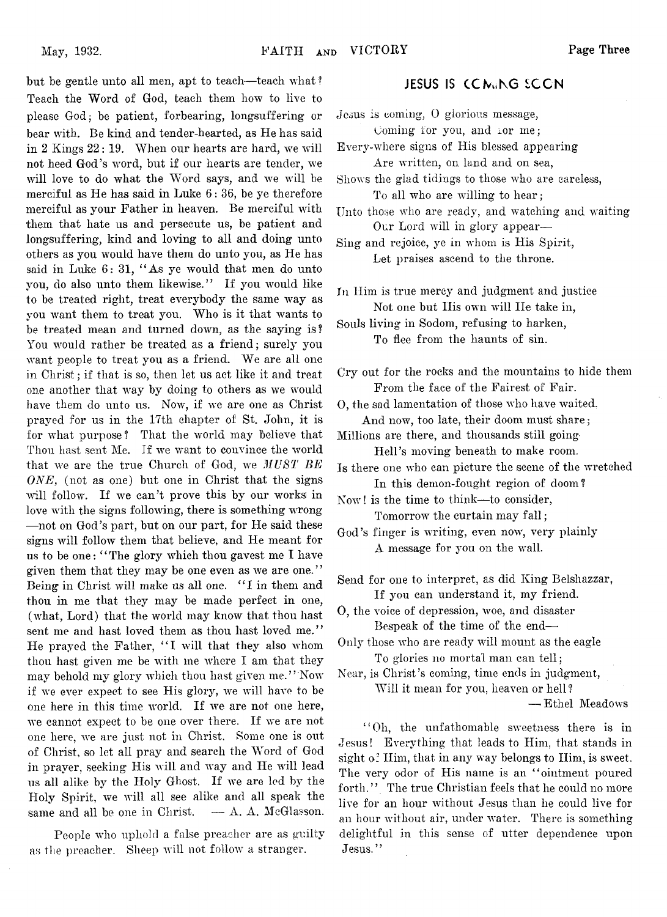**but be gentle unto all men, apt to teach-—teach what ? Teach the Word of God, teach them how to live to please God; be patient, forbearing, longsuffering or bear with. Be kind and tender-hearted, as He has said in 2 Kings 22: 19. When our hearts are hard, we will not heed God's word, but if our hearts are tender, we will love to do what the Word says, and we will be merciful as He has said in Luke 6: 36, be ye therefore merciful as your Father in heaven. Be merciful with them that hate us and persecute us, be patient, and longsuffering, kind and loving to all and doing unto others as you would have them do unto you, as He has said in Luke 6: 31, " As ye would that men do unto you, do also unto them likewise." If you would like to be treated right, treat everybody the same way as you want them to treat you. Who is it that wants to be treated mean and turned down, as the saying is? You would rather be treated as a friend; surely you want people to treat you as a friend. We are all one in Christ; if that is so, then let us act like it and treat one another that way by doing to others as we would have them do unto us. Now, if we are one as Christ prayed for us in the 17th chapter of St. John, it is for what purpose ? That the world may believe that Thou hast sent Me. If we want to convince the world that we are the true Church of God, we** *MUST BE ONE,* **(not as one) but one in Christ that the signs will follow. If we can't prove this by our works in love with the signs following, there is something wrong —not on God's part, but on our part, for He said these** signs will follow them that believe, and He meant for **us to be one: " The glory which thou gavest me I have given them that they may be one even as we are one. ' ' Being in Christ will make us all one. " I in them and thou in me that they may be made perfect in one, (what, Lord) that the world may know that thou hast sent me and hast loved them as thou hast loved me." He prayed the Father, " I will that they also whom thou hast given me be with me where I am that they may behold my glory which thou hast given me." Now if we ever expect to see His glory, we will have to be** one here in this time world. If we are not one here, **we cannot expect to be one over there. If we are not** one here, we are just not in Christ. Some one is out **of Christ, so let all pray and search the Word of God in prayer, seeking" His will and way and He will lead us all alike by the Holy Ghost, If we are led by the Holy Spirit, we will all see alike and all speak the same and all be one in Christ. — A. A. McGlasson.**

People who uphold a false preacher are as guilty **as the preacher. Sheep will not follow a stranger.**

### **JESUS IS CCMUNG SCON**

**Jesus is coming, 0 glorious message,**

Coming for you, and ior me: **Every-where signs of His blessed appearing**

**Are written, on land and on sea,**

**Shows the giad tidings to those who are careless, To all who are willing to hear;**

**Unto those who are ready, and watching and waiting Our Lord will in glory appear—**

**Sing and rejoice, ye in whom is His Spirit, Let praises ascend to the throne.**

**Xn Him is true mercy and judgment and justice Not one but His own will lie take in,**

**Souls living in Sodom, refusing to harken, To flee from the haunts of sin.**

**Cry out for the rocks and the mountains to hide them From the face of the Fairest of Fair.**

**0, the sad lamentation of those who have waited. And now, too late, their doom must share;**

**Millions are there, and thousands still going Hell's moving beneath to make room.**

**Is there one who can picture the scene of the wretched In this demon-fought region of doom?**

**Now! is the time to think—to consider, Tomorrow the curtain may fall;**

**God's finger is writing, even now, very plainly A message for you on the wall.**

**Send for one to interpret, as did King Belshazzar, If you can understand it, my friend.**

**0, the voice of depression, woe, and disaster Bespeak of the time of the end—**

**Only those who are ready will mount as the eagle To glories no mortal man can tell;**

**Near, is Christ 's coming, time ends in judgment, Will it mean for you, heaven or hell?**

**—■ Ethel Meadows**

**' ' Oh, the unfathomable sweetness there is in Jesus! Everything that leads to Him, that stands in** sight of Him, that in any way belongs to Him, is sweet. **The very odor of His name is an " ointment poured forth. ' ' The true Christian feels that he could no more live for an hour without Jesus than he could live for an hour without air, under water. There is something delightful in this sense of utter dependence upon Jesus."**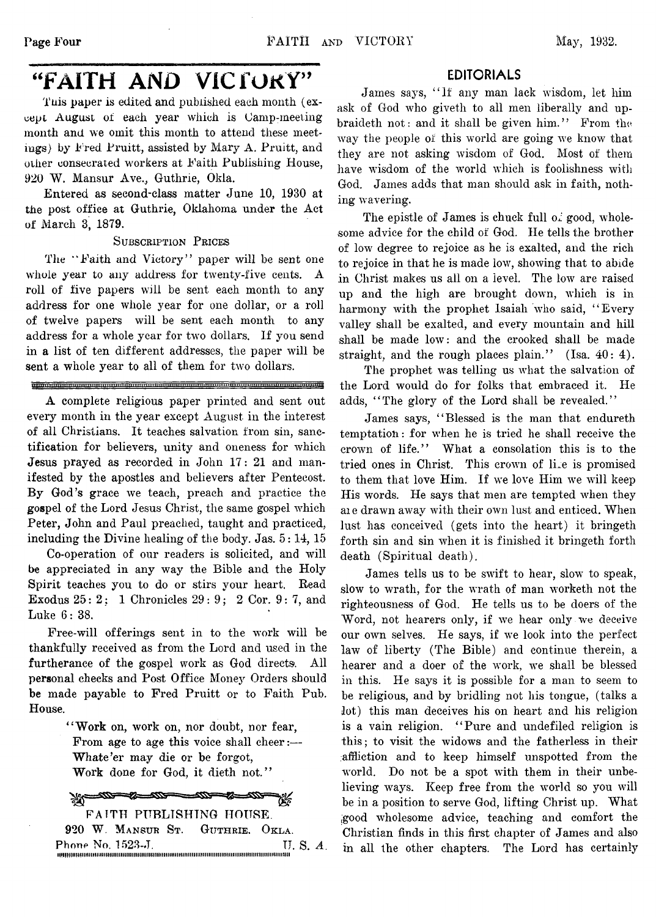# **"FAITH AND VICfOKY"**

Tuis paper is edited and published each month (ex**cept August of each year which is Gamp-meeting month and we omit this month to attend these meetings) by Fred Pruitt, assisted by Mary A. Pruitt, and other consecrated workers at Faith Publishing Plouse, 920 W. Mansur Ave., Guthrie, Okla.**

**Entered as second-class matter June 10, 1930 at the post office at Guthrie, Oklahoma under the Act of March 3, 1879.**

### **S ubscription P rices**

**The " Faith and Victory" paper will be sent one whole year to any address for twenty-five cents. A roll of five papers will be sent each month to any address for one whole year for one dollar, or a roll of twelve papers will be sent each month to any address for a whole year for two dollars. If you send** in a list of ten different addresses, the paper will be **sent a whole year to all of them for** *two* **dollars.**

### inaan manaan manaan manaan manaan manaan manaan manaan manaan manaan manaan manaan ma

**A complete religious paper printed and sent out every month in the year except August in the interest of all Christians. It teaches salvation from sin, sanctification for believers, unity and oneness for which Jesus prayed as recorded in John 17: 21 and manifested by the apostles and believers after Pentecost. By God's grace we teach, preach and practice the gospel of the Lord Jesus Christ, the same gospel which Peter, John and Paul preached, taught and practiced, including the Divine healing of the body. Jas. 5: 14, 15**

Co-operation of our readers is solicited, and will **be appreciated in any way the Bible and the Holy Spirit teaches you to do or stirs your heart. Bead Exodus** *25: 2;* **1 Chronicles 29: 9; 2 Cor. 9: 7, and Luke 6: 38.**

Free-will offerings sent in to the work will be **thankfully received as from the Lord and used in the** furtherance of the gospel work as God directs. All **personal checks and Post Office Money Orders should be made payable to Fred Pruitt or to Faith Pub. House.**

> **4'Work on, work on, nor doubt, nor fear, From age to age this voice shall cheer:— Whate'er may die or be forgot, Work done for God, it dieth not."**

**All-200-St-200-**ન‱—∞ FAITH PUBLISHING HOUSE. **920 W. Mansur St. Guthrie, Okla.**

**Phone No. 1523-J. TJ. S.** *A.* uiHMiiuHiimimiiimiiiiiiiiiiiiiiimiiiimiiiiiimiiimiiiiiiiiiiiiiiiiiiiiimiiiiiimiiiiiiiiiiiiiimiiiim

### **EDITORIALS**

James says, "If any man lack wisdom, let him **ask of God who giveth to all men liberally and upbraideth not: and it shall be given him." From the** way the people of this world are going we know that **they are not asking wisdom of God. Most of them** have wisdom of the world which is foolishness with **God. James adds that man should ask in faith, noth**ing wavering.

The epistle of James is chuck full  $\sigma^2$  good, whole**some advice for the child of God. He tells the brother of low degree to rejoice as he is exalted, and the rich** to rejoice in that he is made low, showing that to abide in Christ makes us all on a level. The low are raised up and the high are brought down, which is in harmony with the prophet Isaiah who said, "Every **valley shall be exalted, and every mountain and hill shall be made low: and the crooked shall be made straight, and the rough places plain." (Isa. 40: 4).**

The prophet was telling us what the salvation of **the Lord would do for folks that embraced it. He adds, "The glory of the Lord shall be revealed."**

**James says, "Blessed is the man that endureth temptation: for wdien he is tried he shall receive the crown of life." What a consolation this is to the** tried ones in Christ. This crown of lile is promised to them that love Him. If we love Him we will keep His words. He says that men are tempted when they **ai e drawn away with their own lust and enticed. When lust has conceived (gets into the heart) it bringeth** forth sin and sin when it is finished it bringeth forth **death (Spiritual death).**

James tells us to be swift to hear, slow to speak, slow to wrath, for the wrath of man worketh not the **righteousness of God. He tells us to be doers of the** Word, not hearers only, if we hear only we deceive our own selves. He says, if we look into the perfect **law of liberty (The Bible) and continue therein, a** hearer and a doer of the work, we shall be blessed **in this. He says it is possible for a man to seem to be religious, and by bridling not his tongue, (talks a lot) this man deceives his on heart and his religion is a vain religion. "Pure and undefiled religion is this; to visit the widows and the fatherless in their affliction and to keep himself unspotted from the** world. Do not be a spot with them in their unbelieving ways. Keep free from the world so you will **be in a position to serve God, lifting Christ up. What ,good wholesome advice, teaching and comfort the Christian finds in this first chapter of James and also in all the other chapters. The Lord has certainly**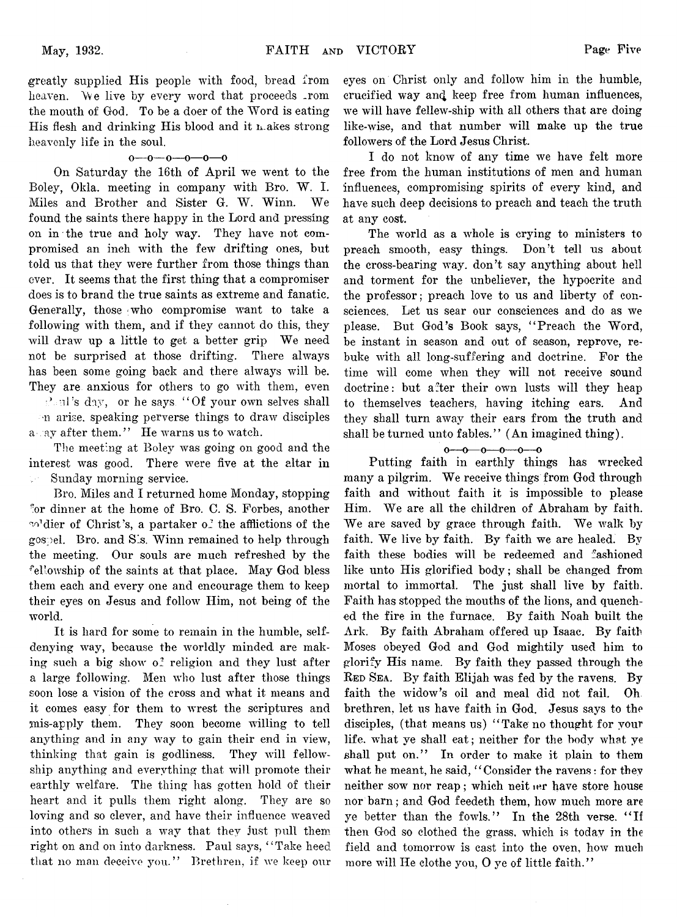**greatly supplied His people with food, bread from** heaven. We live by every word that proceeds .rom **the mouth of God. To be a doer of the Word is eating His flesh and drinking His blood and it makes strong heavenly life in the soul.**

### **o—o— o—o—o—o**

**On Saturday the 16th of April we went to the Boley, Okla. meeting in company with Bro. W. I. Miles and Brother and Sister G. W. Winn. We found the saints there happy in the Lord and pressing on in the true and holy way. They have not compromised an inch with the few drifting ones, but told us that they were further from those things than ever. It seems that the first thing that a compromiser does is to brand the true saints as extreme and fanatic. Generally, those ;who compromise want to take a following with them, and if they cannot do this, they will draw up a little to get a better grip We need not be surprised at those drifting. There always has been some going back and there always will be. They are anxious for others to go with them, even ■Ard's day, or he says " Of your own selves shall n arise, speaking perverse things to draw disciples** a ay after them." He warns us to watch.

**The meeting at Boley was going on good and the interest was good. There were five at the altar in Sunday morning service.**

**Bro. Miles and I returned home Monday, stopping br dinner at the home of Bro. C. S. Forbes, another** w<sup>di</sup>dier of Christ's, a partaker of the afflictions of the **gospel. Bro. and Sis. Winn remained to help through the meeting. Our souls are much refreshed by the fellowship of the saints at that place. May God bless them each and every one and encourage them to keep their eyes on Jesus and follow Him, not being of the world.**

**It is hard for some to remain in the humble, selfdenying way, because the worldly minded are making such a big show of religion and they lust after a large following. Men who lust after those things soon lose a vision of the cross and what it means and it comes easy for them to wrest the scriptures and jnis-apply them. They soon become willing to tell anything and in any way to gain their end in view, thinking that gain is godliness. They will fellowship anything and everything that will promote their earthly welfare. The thing has gotten hold of their heart and it pulls them right along. They are so loving and so clever, and have their influence weaved into others in such a way that they just pull them right on and on into darkness. Paul says, " Take heed that no man deceive you." Brethren, if we keep our**

eyes on Christ only and follow him in the humble, **crucified way an^ keep free from human influences, we will have fellew-ship with all others that are doing like-wise, and that number will make up the true followers of the Lord Jesus Christ.**

**I do not know of any time we have felt more free from the human institutions of men and human influences, compromising spirits of every kind, and have such deep decisions to preach and teach the truth at any cost.**

**The world as a whole is crying to ministers to preach smooth, easy things. Don't tell us about** the cross-bearing way. don't say anything about hell **and torment for the unbeliever, the hypocrite and the professor; preach love to us and liberty of consciences. Let us sear our consciences and do as we please. But God's Book says, " Preach the Word, be instant in season and out of season, reprove, rebuke with all long-suffering and doctrine. For the time wflll come when they will not receive sound doctrine: but after their own lusts will they heap to themselves teachers, having itching ears. And they shall turn away their ears from the truth and shall be turned unto fables." (An imagined thing).**

### $0 - 0 - 0 - 0 - 0$

**Putting faith in earthly things has wrecked many a pilgrim. We receive things from God through faith and without faith it is impossible to please Him. We are all the children of Abraham by faith. We are saved by grace through faith. We walk by faith. We live by faith. By faith we are healed. By faith these bodies wall be redeemed and fashioned like unto His glorified body; shall be changed from mortal to immortal. The just shall live by faith. Faith has stopped the mouths of the lions, and quenched the fire in the furnace. By faith Noah built the Ark. By faith Abraham offered up Isaac. By faith Moses obeyed God and God mightily used him to glorify His name. By faith they passed through the Red Sea. By faith Elijah was fed by the ravens. By faith the widow's oil and meal did not fail. Oh brethren, let us have faith in God. Jesus says to the disciples, (that means us) " Take no thought for vour** life. what ye shall eat; neither for the body what ye **shall put on." In order to make it plain to them what he meant, he said, " Consider the ravens: for they neither sow nor reap; which neit ier have store house nor barn; and God feedeth them, how much more are ye better than the fowls." In the 28th verse. " If then God so clothed the grass, which is today in the** field and tomorrow is cast into the oven, how much **more will He clothe you, 0 ye of little faith."**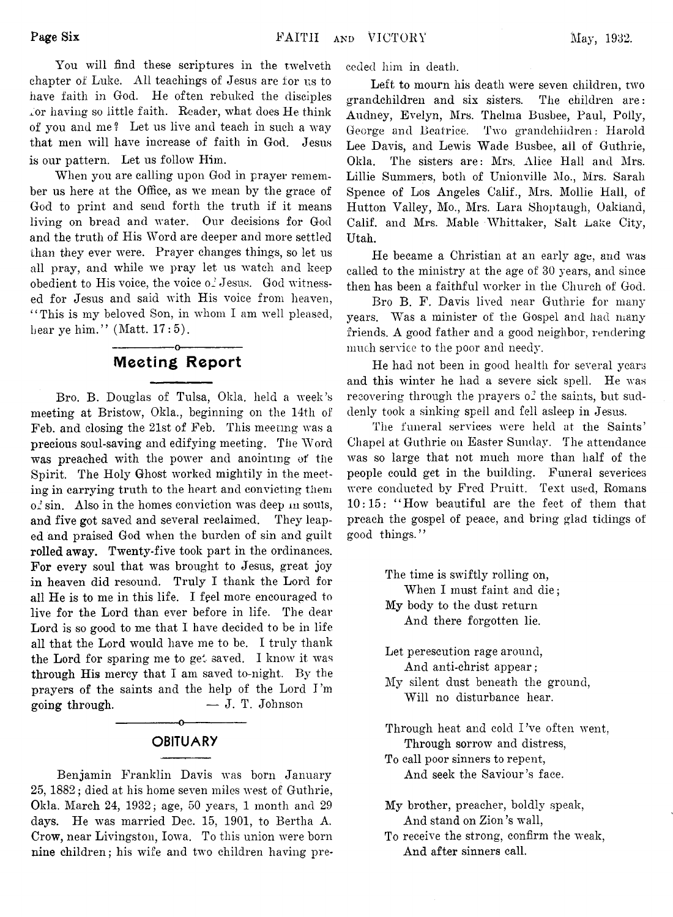**You will find these scriptures in the twelveth chapter of Luke. All teachings of Jesus are for us to have faith in God. He often rebuked the disciples for having so little faith. Reader, what does He think of you and me ? Let us live and teach in such a way that men will have increase of faith in God. Jesus is our pattern. Let us follow Him.**

**When you are calling upon God in prayer remember us here at the Office, as we mean by the grace of God to print and send forth the truth if it means living on bread and water. Our decisions for God and the truth of His Word are deeper and more settled than they ever were. Prayer changes things, so let us** all pray, and while we pray let us watch and keep obedient to His voice, the voice of Jesus. God witness**ed for Jesus and said with His voice from heaven, " This is my beloved Son, in whom I am well pleased, bear ye him." (Matt. 17:5).**

## **---------------o---------------** Meeting Report

**Bro. B. Douglas of Tulsa, Okla. held a week's meeting at Bristow, Okla., beginning on the 14th of Feb. and closing the 21st of Feb. This meeting was a precious soul-saving and edifying meeting. The Word was preached with the power and anointing of the Spirit. The Holy Ghost worked mightily in the meeting in carrying truth to the heart and convicting them of sin. Also in the homes conviction was deep m souls, and five got saved and several reclaimed. They leaped and praised God when the burden of sin and guilt rolled away. Twenty-five took part in the ordinances. For every soul that was brought to Jesus, great joy in heaven did resound. Truly I thank the Lord for all He is to me in this life. I feel more encouraged to live for the Lord than ever before in life. The dear Lord is so good to me that I have decided to be in life all that the Lord would have me to be. I truly thank the Lord for sparing me to get saved. I know it was through His mercy that I am saved to-night. By the prayers of the saints and the help of the Lord I 'm going through. — J. T. Johnson**

# **---------------o--------------- OBITUARY**

**Benjamin Franklin Davis was born January 25, 1882; died at his home seven miles west of Guthrie, Okla. March 24, 1932; age, 50 years, 1 month and 29 days. He was married Dec. 15, 1901, to Bertha A. Crow, near Livingston, Iowa, To this union were born nine children; his wife and two children having pre-** **ceded him in death.**

**Left to mourn his death were seven children, two grandchildren and six sisters. The children are: Audney, Evelyn, Mrs. Thelma Busbee, Paul, Polly, George and Beatrice. Two grandchildren: Harold Lee Davis, and Lewis Wade Busbee, all of Guthrie, Okla. The sisters are: Mrs. Alice Hall and Mrs. Lillie Summers, both of Unionville Mo., Mrs. Sarah Spence of Los Angeles Calif., Mrs. Mollie Hall, of Hutton Valley, Mo., Mrs. Lara Shoptaugh, Oakland, Calif, and Mrs. Mable Whittaker, Salt Lake City, Utah.**

**He became a Christian at an early age, and was called to the ministry at the age of 30 years, and since then has been a faithful worker in the Church of God.**

**Bro B. F. Davis lived near Guthrie for many years. Was a minister of the Gospel and had many friends. A good father and a good neighbor, rendering much service to the poor and needy.**

**He had not been in good health for several years and this winter he had a severe sick spell. He was** recovering through the prayers of the saints, but sud**denly took a sinking spell and fell asleep in Jesus.**

**The funeral services were held at the Saints' Chapel at Guthrie on Easter Sunday. The attendance was so large that not much more than half of the people could get in the building. Funeral severices were conducted by Fred Pruitt. Text used, Romans 10:15: " How beautiful are the feet of them that preach the gospel of peace, and bring glad tidings of good things."**

> **The time is swiftly rolling on, When I must faint and die; My body to the dust return And there forgotten lie.**

**Let perescution rage around, And anti-christ appear;**

- **My silent dust beneath the ground, Will no disturbance hear.**
- **Through heat and cold I 've often went, Through sorrow and distress,**

**To call poor sinners to repent, And seek the Saviour's face.**

- **My brother, preacher, boldly speak, And stand on Zion's wall,**
- **To receive the strong, confirm the weak, And after sinners call.**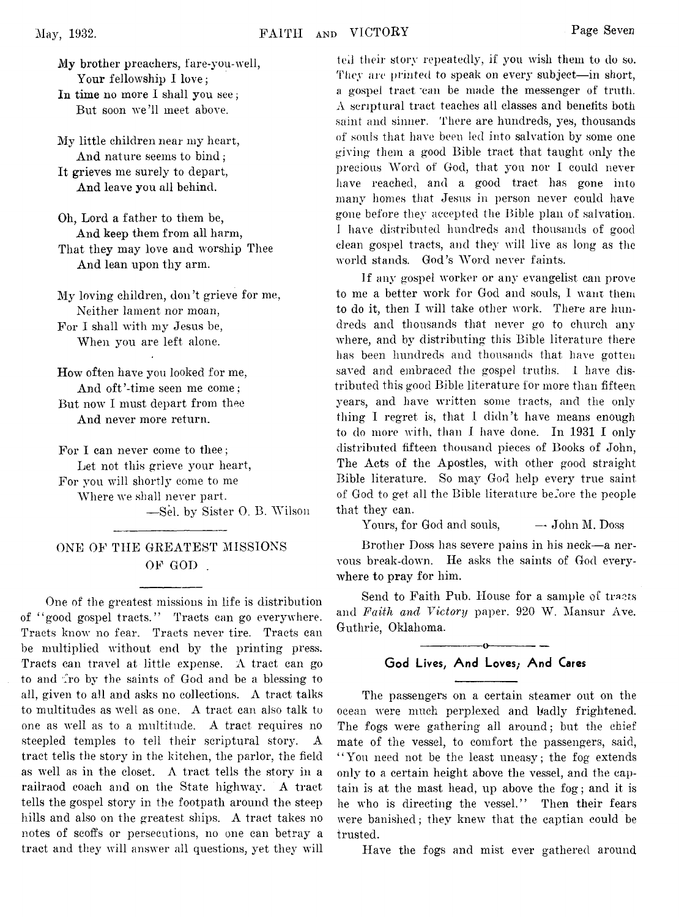**My brother preachers, fare-you-well, Your fellowship I love;**

**In time no more I shall you see; But soon we'll meet above.**

**My little children near my heart, And nature seems to bind; It grieves me surely to depart, And leave you all behind.**

**Oh, Lord a father to them be, And keep them from all harm, That they may love and worship Thee And lean upon thy arm.**

**My loving children, don't grieve for me, Neither lament nor moan, For I shall with my Jesus be, When you are left alone.**

**How often have you looked for me, And oft'-time seen me come; But now I must depart from thee**

**And never more return.**

**For I can never come to thee; Let not this grieve your heart, For you will shortly come to me Where we shall never part. —Sel. by Sister 0. B. Wilson**

### **ONE OF THE GREATEST MISSIONS OF GOD .**

**One of the greatest missions in life is distribution of " good gospel tracts." Tracts can go everywhere. Tracts know no fear. Tracts never tire. Tracts can be multiplied without end by the printing press. Tracts can travel at little expense. A tract can go to and fro by the saints of God and be a blessing to all, given to all and asks no collections. A tract talks to multitudes as well as one. A tract can also talk to one as well as to a multitude. A tract requires no steepled temples to tell their scriptural story. A tract tells the story in the kitchen, the parlor, the field as well as in the closet. A tract tells the story in a railraod coach and on the State highway. A tract tells the gospel story in the footpath around the steep hills and also on the greatest ships. A tract takes no notes of scoffs or persecutions, no one can betray a tract and they will answer all questions, yet they will**

**ted their story repeatedly, if you wish them to do so. They are printed to speak on every subject—in short, a gospel tract van be made the messenger of truth. A scriptural tract teaches all classes and benefits both saint and sinner. There are hundreds, yes, thousands of souls that have been led into salvation by some one giving them a good Bible tract that taught only the precious Word of God, that you nor I could never have reached, and a good tract has gone into many homes that Jesus in person never could have gone before they accepted the Bible plan of salvation. I have distributed hundreds and thousands of good clean gospel tracts, and they will live as long as the world stands. God's Word never faints.**

**If any gospel worker or any evangelist can prove to me a better work for God and souls, 1 wain them to do it, then I will take other work. There are hundreds and thousands that never go to church any where, and by distributing this Bible literature there has been hundreds and thousands that have gotten saved and embraced the gospel truths. I have distributed this good Bible literature for more than fifteen years, and have written some tracts, and the only thing I regret is, that I didn't have means enough to do more with, than I have done. In 1931 I only distributed fifteen thousand pieces of Books of John, The Acts of the Apostles, with other good straight Bible literature. So may God help every true saint of God to get all the Bible literature before the people that they can.**

**Yours, for God and souls, — John M. Doss**

**Brother Doss has severe pains in his neck—a nervous break-down. He asks the saints of God everywhere to pray for him.**

Send to Faith Pub. House for a sample of tracts **and** *Faith and Victory* **paper. 920 W. Mansur Ave. Guthrie, Oklahoma.**

# **---------------o------------ — God Lives, And Loves; And Cares**

**The passengers on a certain steamer out on the ocean were much perplexed and badly frightened. The fogs were gathering all around; but the chief mate of the vessel, to comfort the passengers, said, " You need not be the least uneasy; the fog extends only to a certain height above the vessel, and the captain is at the mast head, up above the fog; and it is he who is directing the vessel." Then their fears were banished; they knew that the captian could be trusted.**

**Have the fogs and mist ever gathered around**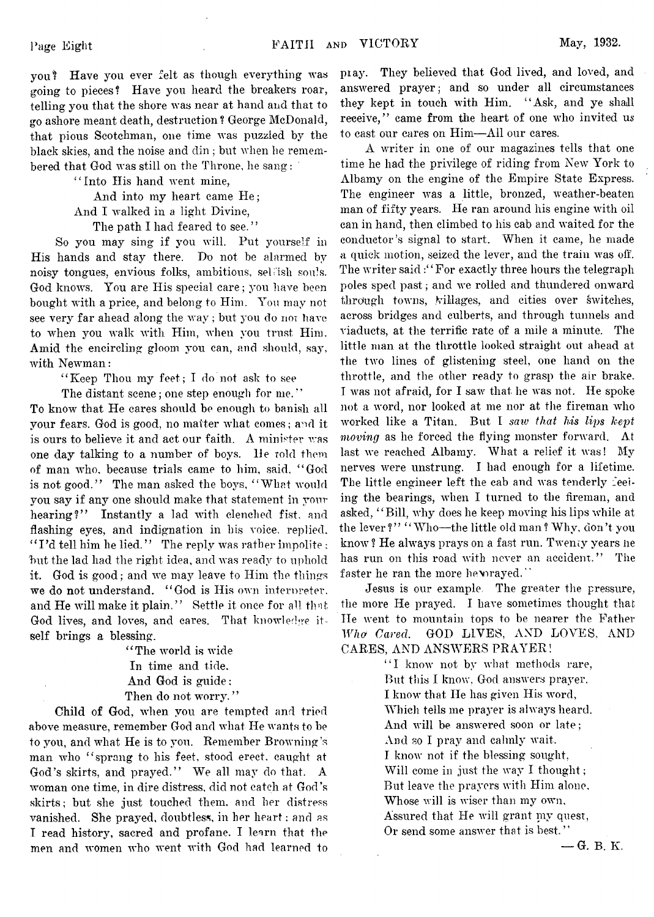**you'? Have you ever felt as though everything was going to pieces? Have you heard the breakers roar, telling you that the shore was near at hand and that to go ashore meant death, destruction ? George McDonald, that pious Scotchman, one time was puzzled by the black skies, and the noise and din ; but when he remem**bered that God was still on the Throne, he sang:

> **" Into His hand went mine,** And into my heart came He;

> **And I walked in a light Divine,**

**The path I had feared to see. "**

**So you may sing if you will. Put yourself in His hands and stay there. Do not be alarmed by noisy tongues, envious folks, ambitious, seLish soids. God knows. You are His special care; you have been bought with a price, and belong to Him. You may not see very far ahead along the way; but you do nor have to when you walk with Him, when you trust Him. Amid the encircling gloom you can, and should, say, with Newman:**

**' ' Keep Thou my feet; I do not ask to see**

**The distant scene; one step enough for me.' '**

**To know that He cares should be enough to banish all your fears. God is good, no matter what comes; and it. is ours to believe it and act our faith. A minister was one day talking to a number of boys. He told them of man who, because trials came to him, said, " God is not good." The man asked the boys, " What would you say if any one should make that statement in your hearing?" Instantly a lad with clenched fist, and flashing eyes, and indignation in his voice, replied, " I 'd tell him he lied. '' The reply was rather impolite ;** but the lad had the right idea, and was ready to uphold **it. God is good; and we may leave to Him the things we do not understand. " God is His own internreter, and He will make it plain." Settle it once for all that, God lives, and loves, and cares. That knowledge itself brings a blessing.**

> **' ' The world is wide In time and tide. And God is guide;** Then do not worry."

**Child of God, when you are tempted and tried above measure, remember God and what He wants to be to you, and what He is to you. Remember Browning's man who " sprang to his feet, stood erect, caught at God's skirts, and prayed." We all may do that. A woman one time, in dire distress, did not catch at God's skirts; but she just touched them, and her distress vanished. She prayed, doubtless, in her heart: and as I read history, sacred and profane. I learn that the men and women who went with God had learned to**

**pi ay. They believed that God lived, and loved, and answered prayer; and so under all circumstances they kept in touch with Him. " Ask, and ye shall receive," came from the heart of one who invited us to cast our cares on Him—All our cares.**

**A writer in one of our magazines tells that one time he had the privilege of riding from New York to Albamy on the engine of the Empire State Express. The engineer was a little, bronzed, weather-beaten man of fifty years. He ran around his engine with oil can in hand, then climbed to his cab and waited for the conductor's signal to start. When it came, he made a quick motion, seized the lever, and the train was off.** The writer said : "For exactly three hours the telegraph **poles sped past; and we rolled and thundered onward through towns, Milages, and cities over switches, across bridges and culberts, and through tunnels and viaducts, at the terrific rate of a mile a minute. The little man at the throttle looked straight out ahead at the two lines of glistening steel, one hand on the throttle, and the other ready to grasp the air brake. I was not afraid, for I saw that he was not. He spoke not a word, nor looked at me nor at the fireman who worked like a Titan. But I** *saw that his lips kept moving* **as he forced the flying monster forward. At last we reached Albamy. What a relief it was! My nerves were unstrung. I had enough for a lifetime.** The little engineer left the cab and was tenderly feel**ing the bearings, when I turned to the fireman, and asked, " Bill, why does he keep moving his lips while at the lever ? " " Who—the little old man ? Why, don't you** know? He always prays on a fast run. Twenty years he has run on this road with never an accident." The faster he ran the more he wrayed."

**Jesus is our example, The greater the pressure, the more He prayed. I have sometimes thought that He went to mountain tops to be nearer the Father** *Who Cared***. GOD LIVES, AND LOVES, AND CARES, AND ANSWERS PRAYER!**

> **" I know not by what methods rare, But this I know, God answers prayer. I know that He has given His word, Which tells me prayer is always heard. And will be answered soon or late; And so I pray and calmly wait. I know not if the blessing sought, Will come in just the way I thought; But leave the prayers with Him alone. Whose will is wiser than my own. Assured that He will grant mv quest, Or send some answer that is best. ' '**

> > **— G. B. K.**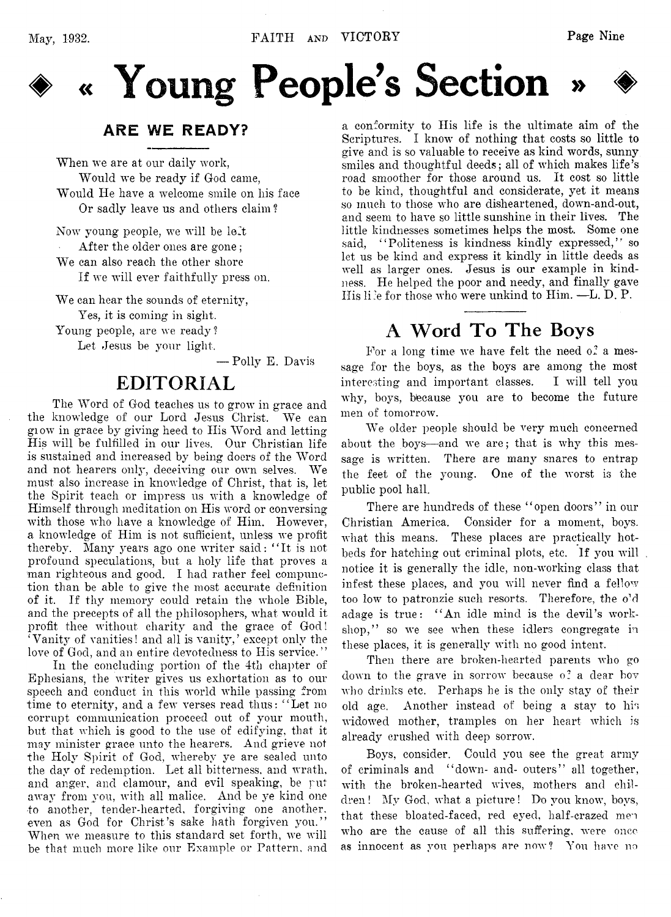

# « Young People's Section

# ARE WE READY?

**When we are at our daily work, Would we be ready if God came, Would lie have a welcome smile on his face Or sadly leave us and others claim ?**

**Now young people, we will be left After the older ones are gone ;**

**We can also reach the other shore**

**If we will ever faithfully press on.**

**We can hear the sounds of eternity,**

**Yes, it is coming in sight.**

**Young people, are we ready ?**

**Let Jesus be your light.**

**— Polly E. Davis**

# **EDITORIAL**

**The Word of God teaches us to grow in grace and the knowledge of our Lord Jesus Christ. We can glow in grace by giving heed to His Word and letting His will be fulfilled in our lives. Our Christian life is sustained and increased by being doers of the Word and not hearers only, deceiving our own selves. We must also increase in knowledge of Christ, that is, let the Spirit teach or impress us with a knowledge of Himself through meditation on His word or conversing with those who have a knowledge of Him. However, a knowledge of Him is not sufficient, unless we profit thereby. Many years ago one writer said: " It is not profound speculations, but a holy life that proves a man righteous and good. I had rather feel compunction than be able to give the most accurate definition of it. If thy memory could retain the whole Bible, and the precepts of all the philosophers, what would it profit thee without charity and the grace of God! 'Vanity of vanities! and all is vanity/ except only the love of God, and an entire devotedness to His service. ' '**

**In the concluding portion of the 4th chapter of Ephesians, the writer gives us exhortation as to our speech and conduct in this world while passing from time to eternity, and a few verses read thus: " Let no corrupt communication proceed out of your mouth, but that which is good to the use of edifying, that it may minister grace unto the hearers. And grieve not the Holy Spirit of God, whereby ye are sealed unto the day of redemption. Let all bitterness, and wrath, and anger, and clamour, and evil speaking, be rut away from you, with all malice. And be ye kind one to another, tender-hearted, forgiving one another, even as God for Christ's sake hath forgiven you." When we measure to this standard set forth, we will be that much more like our Example or Pattern, and**

**a conformity to His life is the ultimate aim of the Scriptures. I know of nothing that costs so little to** give and is so valuable to receive as kind words, sunny **smiles and thoughtful deeds; all of which makes life's road smoother for those around us. It cost so little to be kind, thoughtful and considerate, yet it means so much to those who are disheartened, down-and-out, and seem to have so little sunshine in their lives. The little kindnesses sometimes helps the most. Some one said, " Politeness is kindness kindly expressed,'7 so let us be kind and express it kindly in little deeds as well as larger ones. Jesus is our example in kindness. He helped the poor and needy, and finally gave His li;e for those who were unkind to Him. —L. D. P.**

# **A Word To The Boys**

For a long time we have felt the need of a mes**sage for the boys, as the boys are among the most interesting and important classes. I will tell you why, boys, because you are to become the future men of tomorrow.**

**We older people should be very much concerned about the boys—and we are; that is why this message is written. There are many snares to entrap the feet of the young. One of the worst is the public pool hall.**

**There are hundreds of these " open doors" in our Christian America. Consider for a moment, boys, what this means. These places are practically hotbeds for hatching out criminal plots, etc, If you will notice it is generally the idle, non-working class that infest these places, and you will never find a fellow too low to patronzie such resorts. Therefore, the o^ adage is true: " An idle mind is the devil's workshop," so we see when these idlers congregate in these places, it is generally with no good intent.**

**Then there are broken-hearted parents who go down to the grave in sorrow because o: a dear boy who drinks etc. Perhaps he is the only stay of their old age, Another instead of being a stay to his widowed mother, tramples on her heart which is already crushed with deep sorrow.**

**Boys, consider. Could you see the great army of criminals and " down- and- outers" all together, with the broken-hearted wives, mothers and chil**dren! My God, what a picture! Do you know, boys, **that these bloated-faced, red eyed, half-crazed men who are the cause of all this suffering, were once as innocent as you perhaps are now? You have no**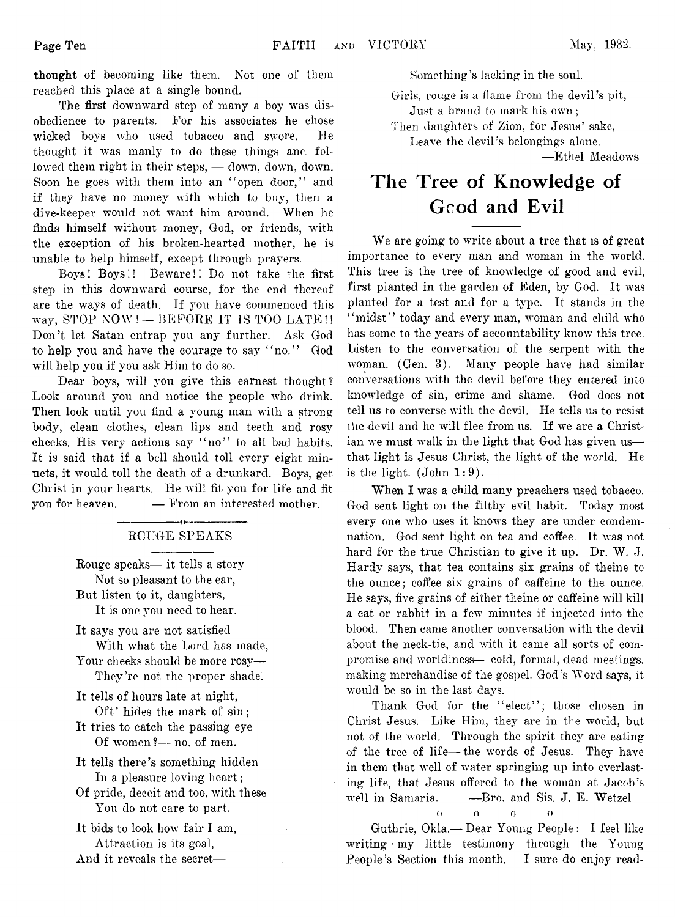**thought of becoming like them. Not one of them reached this place at a single bound.**

**The first downward step of many a boy was disobedience to parents. For his associates he chose wicked boys who used tobacco and swore. He thought it was manly to do these things and followed them right in their steps, — down, down, down. Soon he goes with them into an " open door," and if they have no money with which to buy, then a dive-keeper would not want him around. When he finds himself without money, God, or friends, with the exception of his broken-hearted mother, he is unable to help himself, except through prayers.**

**Boys! Boys!! Beware!! Do not take the first step in this downward course, for the end thereof are the ways of death. If you have commenced tins way, STOP NOW! — BEFORE IT IS TOO LATE !! Don't let Satan entrap you any further. Ask God to help you and have the courage to say " no." God will help you if you ask Him to do so.**

**Dear boys, will you give this earnest thought ? Look around you and notice the people who drink. Then look until you find a young man with a strong body, clean clothes, clean lips and teeth and rosy cheeks. His very actions say " no" to all bad habits. It is said that if a bell should toll every eight minuets, it would toll the death of a drunkard. Boys, get Christ in your hearts. He will fit you for life and fit you for heaven. — From an interested mother.**

### **RCUGE SPEAKS**

**Rouge speaks— it tells a story Not so pleasant to the ear, But listen to it, daughters, It is one you need to hear.**

**It says you are not satisfied With what the Lord has made,**

**Your cheeks should be more rosy— They're not the proper shade.**

- **It tells of hours late at night, Oft' hides the mark of sin;**
- **It tries to catch the passing eye Of women?— no, of men.**
- **It tells there's something hidden In a pleasure loving heart;**
- **Of pride, deceit and too, with these You do not care to part.**
- **It bids to look how fair I am, Attraction is its goal,**

**And it reveals the secret—**

**Something's lacking in the soul.**

**Girls, rouge is a flame from the devil's pit, Just a brand to mark his own;**

**Then daughters of Zion, for Jesus' sake,**

**Leave the devil's belongings alone.**

**—Ethel Meadows**

# **The Tree of Knowledge of Good and Evil**

**We are going to write about a tree that is of great importance to every man and woman in the world. This tree is the tree of knowledge of good and evil, first planted in the garden of Eden, by God. It was planted for a test and for a type. It stands in the " midst" today and every man, woman and child who has come to the years of accountability know this tree. Listen to the conversation of the serpent with the woman. (Gen. 3). Many people have had similar conversations with the devil before they entered into knowledge of sin, crime and shame. God does not tell us to converse with the devil. He tells us to resist the devil and he will flee from us. If we are a Christian we must walk in the light that God has given us that light is Jesus Christ, the light of the world. He is the light. (John 1:9).**

**When I was a child many preachers used tobacco. God sent light on the filthy evil habit. Today most every one who uses it knows they are under condemnation. God sent light on tea and coffee. It was not hard for the true Christian to give it up. Dr. W. J. Hardy says, that tea contains six grains of theine to the ounce; coffee six grains of caffeine to the ounce. He says, five grains of either theine or caffeine will kill a cat or rabbit in a few minutes if injected into the blood. Then came another conversation with the devil about the neck-tie, and with it came all sorts of compromise and worldiness— cold, formal, dead meetings, making merchandise of the gospel. God's Word says, it would be so in the last days.**

**Thank God for the " elect" ; those chosen in Christ Jesus. Like Him, they are in the world, but not of the world. Through the spirit they are eating of the tree of life— the words of Jesus. They have in them that well of water springing up into everlasting life, that Jesus offered to the woman at Jacob's well in Samaria. —Bro. and Sis. J. E. Wetzel**

**o o o o o** 

**Guthrie, Okla.— Dear Young People: I feel like** writing my little testimony through the Young **People's Section this month. I sure do enjoy read**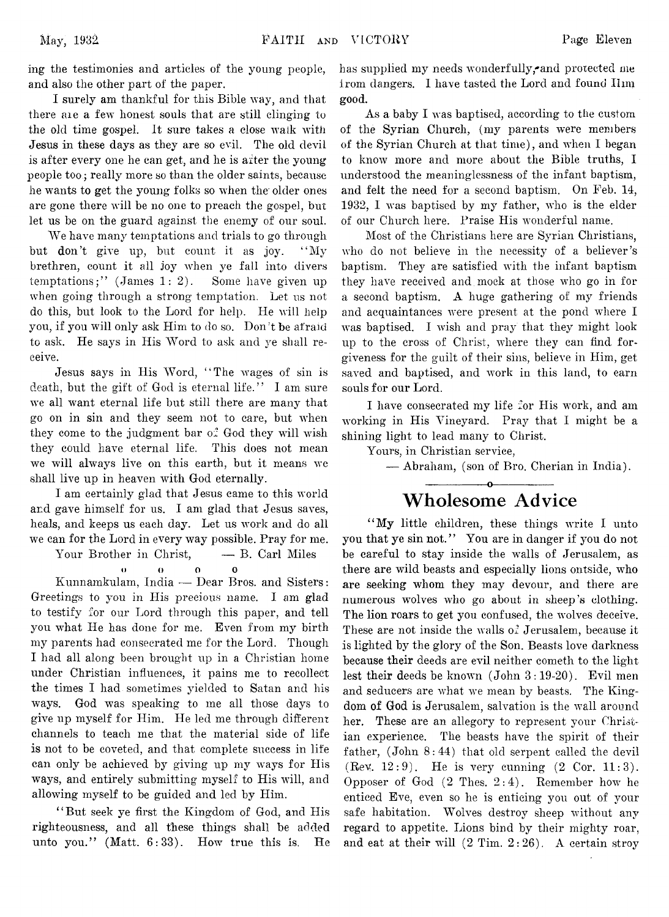**May, 1932**

**ing the testimonies and articles of the young people, and also the other part of the paper.**

**I surely am thankful for this Bible way, and that there aie a few honest souls that are still clinging to the old time gospel. It sure takes a close walk with Jesus in these days as they are so evil. The old devil** is after every one he can get, and he is after the young **people too; really more so than the older saints, because he wants to get the young folks so when the older ones are gone there will be no one to preach the gospel, but let us be on the guard against the enemy of our soul.**

**We have many temptations and trials to go through but don't give up, but count it as joy. " My brethren, count it all joy when ye fall into divers temptations;" (James 1: 2). Some have given up when going through a strong temptation. Let us not do this, but look to the Lord for help. He will help you, if you will only ask Him to do so. Don't be afraid to ask. He says in His Word to ask and ye shall receive.**

**Jesus says in His Word, " The wages of sin is death, but the gift of God is eternal life. " I am sure we all want eternal life but still there are many that go on in sin and they seem not to care, but when they come to the judgment bar of God they will wish they could have eternal life. This does not mean we will always live on this earth, but it means we shall live up in heaven with God eternally.**

**I am certainly glad that Jesus came to this world and gave himself for us. I am glad that Jesus saves, heals, and keeps us each day. Let us work and do all we can for the Lord in every way possible. Pray for me.**

**Your Brother in Christ, — B. Carl Miles**

*o* **o o o**

**Kunnamkulam, India — Dear Bros, and Sisters: Greetings to you in His precious name. I am glad to testify for our Lord through this paper, and tell you what He has done for me. Even from my birth my parents had consecrated me for the Lord. Though I had all along been brought up in a Christian home under Christian influences, it pains me to recollect the times I had sometimes yielded to Satan and his ways. God was speaking to me all those days to give up myself for Him. He led me through different channels to teach me that the material side of life is not to be coveted, and that complete success in life** can only be achieved by giving up my ways for His **ways, and entirely submitting myself to His will, and allowing myself to be guided and led by Him.**

**" But seek ye first the Kingdom of God, and His righteousness, and all these things shall be added unto you." (Matt. 6:33). How true this is. He**

**has supplied my needs wonderfully,\*and protected me from dangers. I have tasted the Lord and found Him good.**

**As a baby I was baptised, according to the custom** of the Syrian Church, (my parents were members **of the Syrian Church at that time), and when I began to know more and more about the Bible truths, I understood the meaninglessness of the infant baptism, and felt the need for a second baptism. On Feb. 14, 1932, I was baptised by my father, who is the elder of our Church here. Praise His wonderful name.**

**Most of the Christians here are Syrian Christians, who do not believe in the necessity of a believer's baptism. They are satisfied with the infant baptism they have received and mock at those who go in for a second baptism. A huge gathering of my friends and acquaintances were present at the pond where I was baptised. I wish and pray that they might look up to the cross of Christ, where they can find forgiveness for the guilt of their sins, believe in Him, get saved and baptised, and work in this land, to earn souls for our Lord.**

**I have consecrated my life for His work, and am working in His Vineyard. Pray that I might be a shining light to lead many to Christ.**

**Yours, in Christian service,**

**— Abraham, (son of Bro. Cherian in India).**

# **--------------- o--------------- Wholesome Advice**

**" My little children, these things write I unto you that ye sin not. " You are in danger if you do not be careful to stay inside the walls of Jerusalem, as there are wild beasts and especially lions outside, who are seeking whom they may devour, and there are numerous wolves who go about in sheep's clothing. The lion roars to get you confused, the wolves deceive. These are not inside the walls of Jerusalem, because it is lighted by the glory of the Son. Beasts love darkness because their deeds are evil neither cometh to the light lest their deeds be known (John 3 :19-20). Evil men and seducers are what we mean by beasts. The Kingdom of God is Jerusalem, salvation is the wall around** her. These are an allegory to represent your Christ**ian experience. The beasts have the spirit of their father, (John 8:44) that old serpent called the devil (Bey. 12:9). He is very cunning (2 Cor. 11:3). Opposer of God (2 Thes. 2:4). Remember how he enticed Eve, even so he is enticing you out of your safe habitation. Wolves destroy sheep without any regard to appetite. Lions bind by their mighty roar, and eat at their will (2 Tim. 2:26). A certain stroy**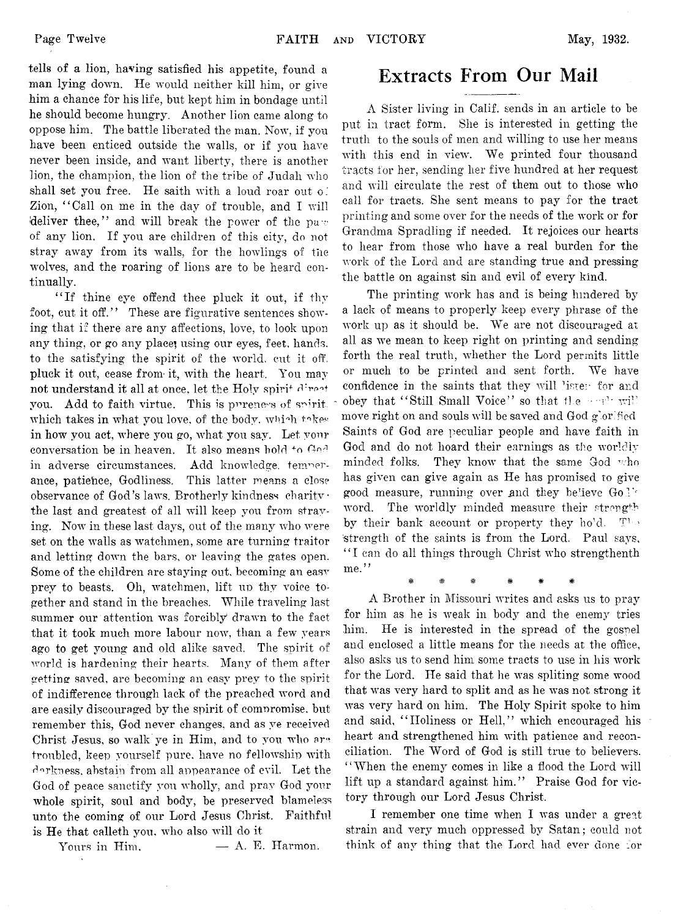**tells of a lion, having satisfied his appetite, found a man lying down. He would neither kill him, or give him a chance for his life, but kept him in bondage until he should become hungry. Another lion came along to oppose him. The battle liberated the man. Now, if you have been enticed outside the walls, or if you have never been inside, and want liberty, there is another lion, the champion, the lion of the tribe of Judah who shall set you free. He saith with a loud roar out o.' Zion, " Call on me in the day of trouble, and I will deliver thee," and will break the power of the pa -; of any lion. If you are children of this city, do not stray away from its walls, for the howlings of the wolves, and the roaring of lions are to be heard continually.**

**" If thine eye offend thee pluck it out, if thy** foot, cut it off." These are figurative sentences show**ing that if there are any affections, love, to look upon any thing, or go any place' using our eyes, feet, hands, to the satisfying the spirit of the world, cut it off.** pluck it out, cease from it, with the heart. You may **not understand it all at once, let the Holy spirit** you. Add to faith virtue. This is pureness of spirit. which takes in what you love, of the body, which takes **in how you act, where you go, what you say. Let your** conversation be in heaven. It also means hold to God **in adverse circumstances. Add knowledge, temperance, patiehce, Godliness. This latter means a close** observance of God's laws. Brotherly kindness charity · **the last and greatest of all will keep you from straying. Now in these last days, out of the many who were set on the walls as watchmen, some are turning traitor and letting down the bars, or leaving the gates open. Some of the children are staying out, becoming an easv prey to beasts.** Oh, watchmen, lift up thy voice to**gether and stand in the breaches. While traveling last summer our attention was forcibly drawn to the fact that it took much more labour now, than a few years ago to get young and old alike saved. The spirit of world is hardening their hearts. Many of them after** getting saved, are becoming an easy prey to the spirit **of indifference through lack of the preached word and are easily discouraged by the spirit of comnromise, but remember this, God never changes, and as ye received Christ Jesus, so walk ye in Him, and to yon who ar~ troubled, keep yourself pure, have no fellowship with •darkness, abstain from all appearance of evil. Let the God of peace sanctify you wholly, and pray God your whole spirit, soul and body, be preserved blameless unto the coming of our Lord Jesus Christ. Faithful is He that calleth you, who also will do it**

**Yours in Him, — A. E. Harmon.**

# **Extracts From Our Mail**

**A Sister living in Calif, sends in an article to be put in tract form. She is interested in getting the truth to the souls of men and willing to use her means with this end in view. We printed four thousand tracts for her, sending her five hundred at her request and will circulate the rest of them out to those who call for tracts. She sent means to pay for the tract printing and some over for the needs of the work or for Grandma Spradling if needed. It rejoices our hearts to hear from those who have a real burden for the work of the Lord and are standing true and pressing the battle on against sin and evil of every kind.**

**The printing work has and is being hindered by a lack of means to properly keep every phrase of the work up as it should be. We are not discouraged at all as we mean to keep right on printing and sending forth the real truth, whether the Lord permits little or much to be printed and sent forth. We have confidence in the saints that they will lister for and obey that "Still Small Voice" so that the • • all will move right on and souls will be saved and God glorified Saints of God are peculiar people and have faith in God and do not hoard their earnings as the worldly minded folks. They know that the same God who has given can give again as He has promised to give** good measure, running over and they believe Go l's **word. The worldly minded measure their strength by their bank account or property they hold.** The **'strength of the saints is from the Lord. Paul says, " I can do all things through Christ who strengthenth me."**

**\* # # # # #**

**A Brother in Missouri writes and asks us to pray for him as he is weak in body and the enemy tries him. He is interested in the spread of the gospel and enclosed a little means for the needs at the office, also asks us to send him some tracts to use in his work for the Lord. He said that he was spliting some wood that was very hard to split and as he was not strong it was very hard on him. The Holy Spirit spoke to him and said, " Holiness or Hell," which encouraged his heart and strengthened him with patience and reconciliation. The Word of God is still true to believers. " When the enemy comes in like a flood the Lord will** lift up a standard against him." Praise God for vic**tory through our Lord Jesus Christ.**

**I remember one time when I was under a great strain and very much oppressed by Satan; could not think of any thing that the Lord had ever done for**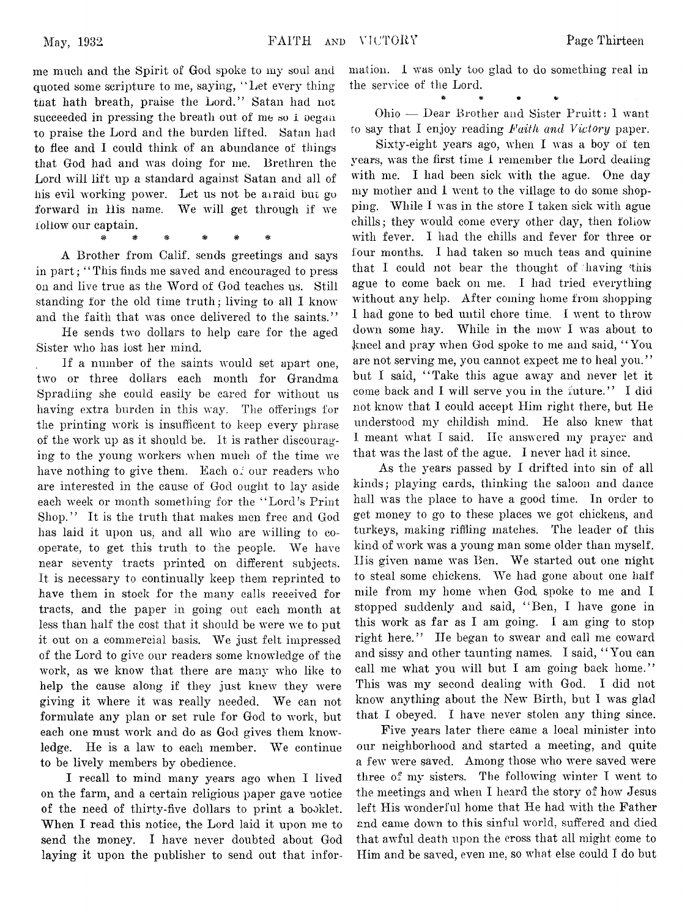**me much and the Spirit of God spoke to my soul and** quoted some scripture to me, saying, "Let every thing **that hath breath, praise the Lord." Satan had not succeeded in pressing the breath out of me** so **i oegan to praise the Lord and the burden lifted. Satan had to flee and I could think of an abundance of things that God had and was doing for me. Brethren the Lord will lift up a standard against Satan and all of his evil working power. Let us not be airaid bui go forward in Bis name. We will get through if we follow our captain.**

\* \* \* \* \* \*<br>\* \* \* \* \*

**A Brother from Calif, sends greetings and says in part; 4 4 This finds me saved and encouraged to press on and live true as the Word of God teaches us. Still standing for the old time truth; living to all I know and the faith that was once delivered to the saints."**

**He sends two dollars to help care for the aged Sister who has lost her mind.**

**If a number of the saints would set apart one, two or three dollars each month for Grandma Spradiing she could easily be cared for without us having extra burden in this way. The offerings for the printing work is insufficent to keep every phrase of the work up as it should be. It is rather discouraging to the young workers when much of the time we have nothing to give them. Each of our readers who are interested in the cause of God ought to lay aside** each week or month something for the "Lord's Print **Shop." It is the truth that makes men free and God has laid it upon us, and all who are willing to cooperate, to get this truth to the people. We have near seventy tracts printed on different subjects. It is necessary to continually keep them reprinted to have them in stock for the many calls received for tracts, and the paper in going out each month at less than half the cost that it should be were we to put it out on a commercial basis. We just felt impressed of the Lord to give our readers some knowledge of the work, as we know that there are many who like to** help the cause along if they just knew they were **giving it where it was really needed. We can not formulate any plan or set rule for God to work, but each one must work and do as God gives them knowledge. He is a law to each member. We continue to be lively members by obedience.**

**I recall to mind many years ago when I lived on the farm, and a certain religious paper gave notice of the need of thirty-five dollars to print a booklet. When I read this notice, the Lord laid it upon me to send the money. I have never doubted about God laying it upon the publisher to send out that infor-**

mation. I was only too glad to do something real in **the service of the Lord.**

**\*** *m* **\*>**

**Ohio -— Dear Brother and Sister Pruitt: I want co say that I enjoy reading** *Faith and Victory* **paper.**

**Sixty-eight years ago, when I was a boy of ten years, was the first time I remember the Lord dealing with me. I had been sick with the ague. One day my mother and I went to the village to do some shopping. While I was in the store I taken sick with ague chills; they would come every other day, then follow with fever. I had the chills and fever for three or four months. I had taken so much teas and quinine** that I could not bear the thought of having this **ague to come back on me. I had tried everything without any help. After coming home from shopping I had gone to bed until chore time. I went to throw down some hay. While in the mow I was about to Jmeel and pray when God spoke to me and said, 44 You are not serving me, you cannot expect me to heal you. ' '** but I said, "Take this ague away and never let it **come back and I. will serve you in the future." I did not know that I could accept Him right there, but He understood my childish mind. He also knew that I meant what I said, lie answered my prayer and that was the last of the ague. I never had it since.**

**As the years passed by I drifted into sin of all kinds; playing cards, thinking the saloon and dance hall was the place to have a good time. In order to get money to go to these places we got chickens, and turkeys, making riffling matches. The leader of this kind of work was a young man some older than myself. His given name was Ben. We started out one night to steal some chickens. We had gone about one half mile from my home when God, spoke to me and 1** stopped suddenly and said, "Ben, I have gone in **this work as far as I am going. I am ging to stop right here." lie began to swear and call me coward** and sissy and other taunting names. I said, "You can **call me what you will but I am going back home." This was my second dealing with God. I did not know anything about the New Birth, but I was glad that I obeyed. I have never stolen any thing since.**

**Five years later there came a local minister into our neighborhood and started a meeting, and quite a few were saved. Among those who were saved were three of my sisters. The following winter I went to the meetings and when I heard the story of how Jesus** left His wonderful home that He had with the Father **and came down to this sinful world, suffered and died that awful death upon the cross that all might come to Him and be saved, even me, so what else could I do but**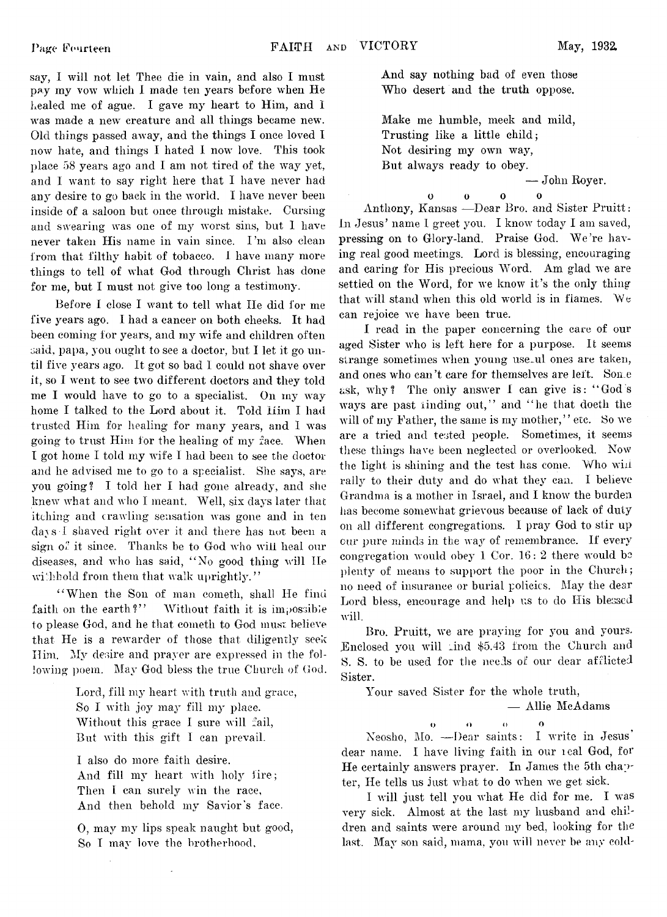**say, I will not let Thee die in vain, and also I must pay my vow which I made ten years before when He healed me of ague. I gave my heart to Him, and I was made a new creature and all things became new. Old things passed away, and the things I once loved I now hate, and things I hated I now love. This took place 58 years ago and I am not tired of the way yet, and I want to say right here that I have never had any desire to go back in the world. I have never been inside of a saloon but once through mistake. Cursing and swearing was one of my worst sins, but I have never taken His name in vain since. I 'm also clean from that filthy habit of tobacco. I have many more things to tell of what God through Christ has done for me, but I must not give too long a testimony.**

**Before I close I want to tell what He did for me five years ago. I had a cancer on both cheeks. It had been coming for years, and m**3**" wife and children often said, papa, you ought to see a doctor, but I let it go until five \rears ago. It got so bad I could not shave over it, so I went to see two different doctors and they told** me I would have to go to a specialist. On my way **home I talked to the Lord about it. Told Him I had** trusted Him for healing for many years, and I was **going to trust Him for the healing of m**3**" face. When I got home I told my wife I had been to see the doctor** and he advised me to go to a specialist. She says, are **you going? I told her I had gone already, and she** knew what and who I meant. Well, six days later that **itching and crawling sensation was gone and in ten day s I shaved right over it and there has not been a sign** 0**f it since. Thanks be to God who will heal our diseases, and who has said, "No good thing will He** withhold from them that walk uprightly."

"When the Son of man cometh, shall He find **faith on the earth?" Without faith it is impossible to please God, and he that cometli to God must believe that He is a rewarder of those that diligently seek** Him. My desire and prayer are expressed in the fol**lowing poem. May' God bless the true Church of Cod.**

> **Lord, fill my heart with truth and grace, So I with J**03**" may" fill** *my* **place. Without this grace I sure will fail, But with this gift I can prevail.**

**I also do more faith desire.** And fill my heart with holy fire; **Then I can surely win the race, And then behold my Savior's face.**

0 **, may ni**3**r lips speak naught but good, So I ma**3**" love the brotherhood,**

 $\overline{a}$ 

**And say nothing bad of even those Who desert and the truth oppose.**

**Make me humble, meek and mild, Trusting like a little child; Not desiring my own way, But always ready to obey.**

**— John Royer.**

0 0 0 0  $\ddot{\mathbf{O}}$ **Anthony, Kansas —Dear Bro. and Sister Pruitt : In Jesus' name I greet you. I know today I am saved, pressing on to Glory-land. Praise God. We're having real good meetings. Lord is blessing, encouraging** and caring for His precious Word. Am glad we are **settled on the Word, for we know it's the only thing that will stand when this old world is in fiames. We can rejoice we have been true.**

**I read in the paper concerning the care of our aged Sister who is left here for a purpose. It seems** strange sometimes when young use<sub>ul</sub> ones are taken, **and ones who can't care for themselves are left. Some ask, why? The only answer I can give is: "God's ways are past finding out," and "he that doeth the** will of my Father, the same is my mother," etc. So we **are a tried and tested people. Sometimes, it seems these things have been neglected or overlooked. Now the light is shining and the test has come. Who wiii** rally to their duty and do what they can. I believe **Grandma is a mother in Israel, and I know the burden has become somewhat grievous because of lack of duty** 011 **all different congregations. I pray God to stir up** cur pure minds in the way of remembrance. If every **congregation would obey" 1 Cor. 16: 2 there would bo plenty of means to support the poor in the Church; no need of insurance or burial policies. May the dear** Lord bless, encourage and help us to do His blessed **will.**

Bro. Pruitt, we are praying for you and yours. **.Enclosed you will und** \$5.43 **from the Church** and **S. S. to be used for the nee:**1**s of our dear afflicted Sister.**

**Your saved Sister for the whole truth,**

**— Allie McAdams**

**o o o 0 Neosho, Mo. — Dear saints: I write in Jesus' dear name. I have living faith in our leal God, for He certainly answers prayer. In James the 5th chapter, He tells us just what to do when we get sick.**

**I will just tell you what He did for me. I was very sick. Almost at the last my husband and children and saints were around my bed, looking for the** last. May son said, mama, you will never be any cold-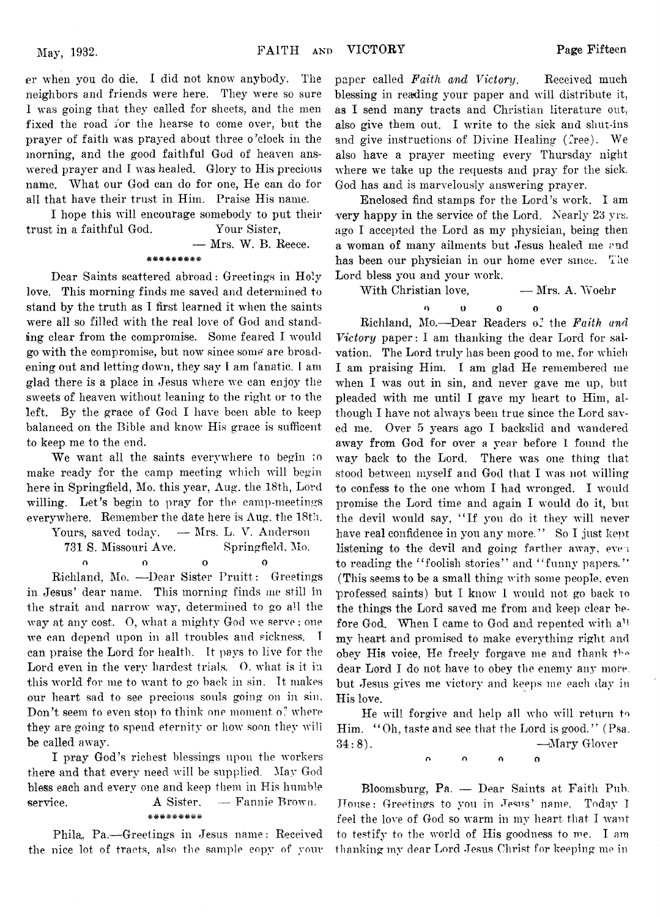**er when yon do die. I did not know anybody. The neighbors and friends were here. They were so sure I was going that they called for sheets, and the men fixed the road for the hearse to come over, but the prayer of faith was prayed about three o'clock in the morning, and the good faithful God of heaven answered prayer and I was healed. Glory to His precious name. What our God can do for one, He can do for all that have their trust in Him. Praise His name.**

**I hope this will encourage somebody to put their trust in a faithful God. Your Sister,**

**— Mrs. W. B. Reece.**

### **&&&&&&&&&**

**Dear Saints scattered abroad: Greetings in Holy love. This morning finds me saved and determined to stand by the truth as I first learned it when the saints were all so filled with the real love of God and standing clear from the compromise. Some feared I would go with the compromise, but now since some' are broadening out and letting down, they say I am fanatic. I am glad there is a place in Jesus where we can enjoy the sweets of heaven without leaning to the right or to the left. By the grace of God I have been able to keep balanced on the Bible and know His grace is sufficent to keep me to the end.**

**We want all the saints everywhere to begin ;o make ready for the camp meeting which will begin here in Springfield, Mo. this year, Aug. the 18th, Lord willing. Let's begin to pray for the camp-meetings everywhere. Remember the date here is Aug. the 18th.**

**Yours, saved today, — Mrs. L. V. Anderson 731 S. Missouri Ave. Springfield, Mo. o o o o**

**Richland, Mo. —Dear Sister Pruitt : Greetings in Jesus' dear name. This morning finds me still in the strait and narrow way, determined to go all the way at any cost, 0, what a mighty God we servo; one we can depend upon in all troubles and sickness. I can praise the Lord for health. It pays to live for the Lord even in the very hardest trials. 0, what is it in this world for me to want to go back in sin. It makes our heart sad to see precious souls going on in sin. Don't seem to even stop to think one moment o: where they are going to spend eternity or how soon they will be called away.**

**I pray God's richest blessings upon the workers there and that every need will be supplied. May God bless each and every one and keep them in His humble service. A Sister, — Fannie Brown.** \*\*\*\*\*\*\*\*\*

**Phila, Pa.—Greetings in Jesus name: Received the nice lot of tracts, also the sample copy of your** **paper called** *Faith and Victory.* **Received much blessing in reading your paper and will distribute it, as I send many tracts and Christian literature out, also give them out. I write to the sick and shut-ins and give instructions of Divine Healing (free). We also have a prayer meeting every Thursday night where we take up the requests and pray for the sick. God has and is marvelously answering prayer.**

**Enclosed find stamps for the Lord's work. I am very happy in the service of the Lord. Nearly 23 vrs. ago I accepted the Lord as my physician, being then** a woman of many ailments but Jesus healed me end **has been our physician in our home ever since. The Lord bless you and your work.**

With Christian love, **— Mrs. A. Woehr** 

**o o o o Richland, Mo.—Dear Readers of the** *Faith and Victory* **paper: I am thanking the dear Lord for salvation. The Lord truly has been good to me, for which I am praising Him. I am glad He remembered me** when I was out in sin, and never gave me up, but **pleaded with me until I gave my heart to Him, although I have not always been true since the Lord saved me. Over 5 years ago I backslid and wandered away from God for over a year before I found the way back to the Lord. There was one thing that stood between myself and God that I was not willing to confess to the one whom I had wronged. I would promise the Lord time and again I would do it, but the devil would say, " If you do it they will never have real confidence in you any more. " So I just kept listening to the devil and going farther away, eve i** to reading the "foolish stories" and "funny papers." **(This seems to be a small thing with some people, even professed saints) but I know I would not go back to the things the Lord saved me from and keep clear before God. When I came to God and repented with a1! my heart and promised to make everything right and obey His voice, He freely forgave me and thank the dear Lord I do not have to obey the enemy any more, but Jesus gives me victory and keeps me each day in His love.**

**He will forgive and help all who will return to Him. " Oh, taste and see that the Lord is good." (Psa. 34:8). —Mary Glover** n n o o

**Bloomsburg, Pa. — Dear Saints at Faith Pub. House: Greetings to you in Jesus' name. Today T feel the love of God so warm in my heart that I want to testify to the world of His goodness to me. I am thanking my dear Lord Jesus Christ for keeping me in**